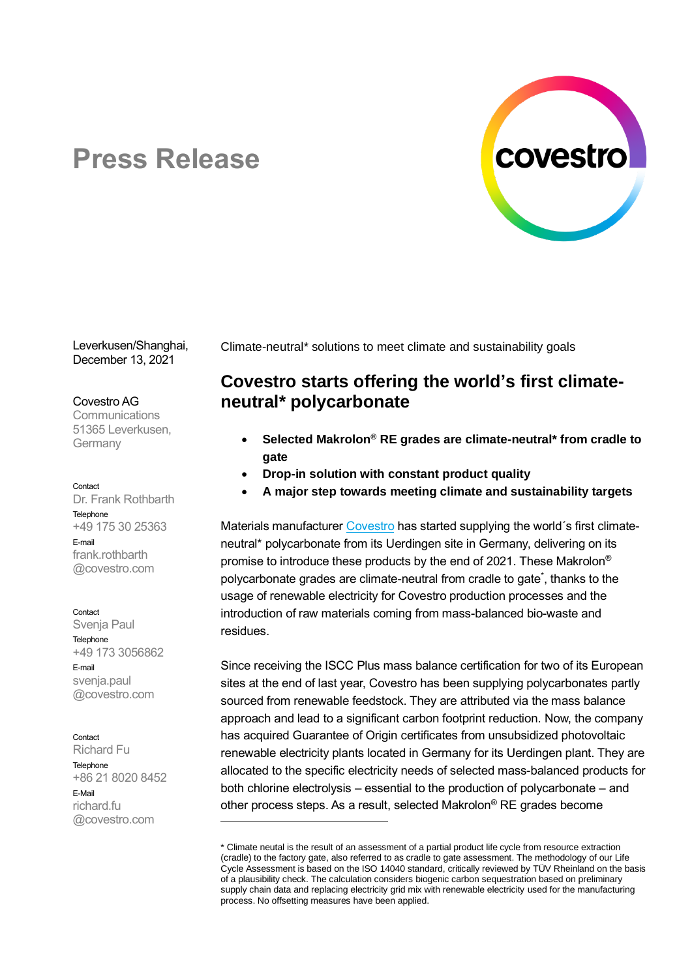

# **Press Release**

Leverkusen/Shanghai, December 13, 2021

### Covestro AG

**Communications** 51365 Leverkusen, Germany

### Contact

Dr. Frank Rothbarth **Telephone** +49 175 30 25363 E-mail frank rothbarth @covestro.com

#### **Contact**

Svenja Paul Telephone +49 173 3056862 E-mail svenja.paul @covestro.com

### Contact

Richard Fu Telephone +86 21 8020 8452 E-Mail richard.fu @covestro.com

Climate-neutral\* solutions to meet climate and sustainability goals

# **Covestro starts offering the world's first climateneutral\* polycarbonate**

- **Selected Makrolon® RE grades are climate-neutral\* from cradle to gate**
- **Drop-in solution with constant product quality**
- **A major step towards meeting climate and sustainability targets**

Materials manufacturer [Covestro](https://www.covestro.com/) has started supplying the world's first climateneutral\* polycarbonate from its Uerdingen site in Germany, delivering on its promise to introduce these products by the end of 2021. These Makrolon® polycarbonate grades are climate-neutral from cradle to gate\* , thanks to the usage of renewable electricity for Covestro production processes and the introduction of raw materials coming from mass-balanced bio-waste and residues.

Since receiving the ISCC Plus mass balance certification for two of its European sites at the end of last year, Covestro has been supplying polycarbonates partly sourced from renewable feedstock. They are attributed via the mass balance approach and lead to a significant carbon footprint reduction. Now, the company has acquired Guarantee of Origin certificates from unsubsidized photovoltaic renewable electricity plants located in Germany for its Uerdingen plant. They are allocated to the specific electricity needs of selected mass-balanced products for both chlorine electrolysis – essential to the production of polycarbonate – and other process steps. As a result, selected Makrolon® RE grades become

<sup>\*</sup> Climate neutal is the result of an assessment of a partial product life cycle from resource extraction (cradle) to the factory gate, also referred to as cradle to gate assessment. The methodology of our Life Cycle Assessment is based on the ISO 14040 standard, critically reviewed by TÜV Rheinland on the basis of a plausibility check. The calculation considers biogenic carbon sequestration based on preliminary supply chain data and replacing electricity grid mix with renewable electricity used for the manufacturing process. No offsetting measures have been applied.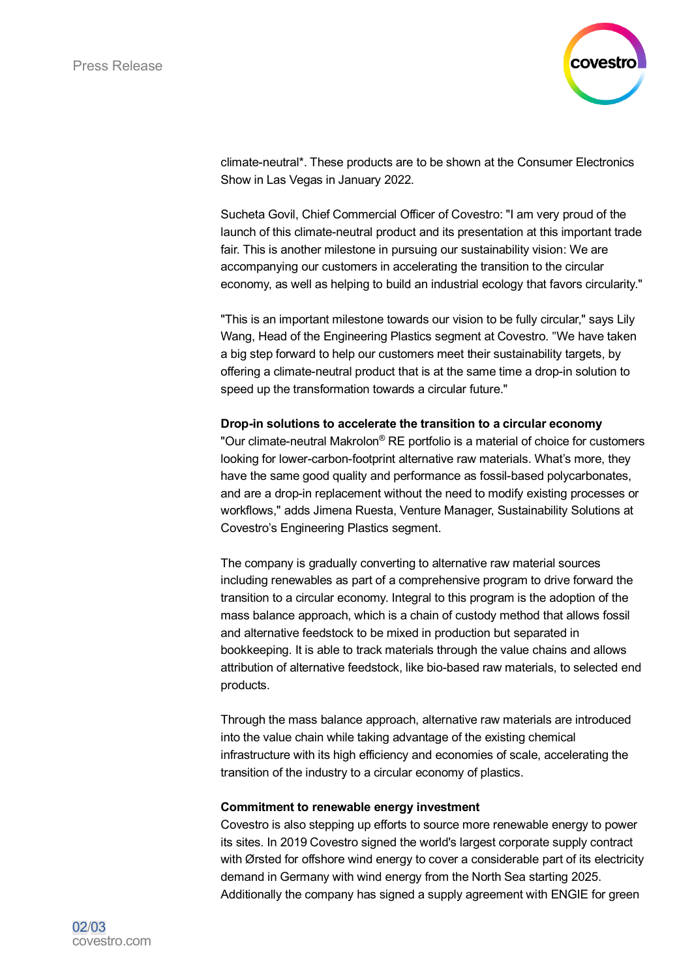

climate-neutral\*. These products are to be shown at the Consumer Electronics Show in Las Vegas in January 2022.

Sucheta Govil, Chief Commercial Officer of Covestro: "I am very proud of the launch of this climate-neutral product and its presentation at this important trade fair. This is another milestone in pursuing our sustainability vision: We are accompanying our customers in accelerating the transition to the circular economy, as well as helping to build an industrial ecology that favors circularity."

"This is an important milestone towards our vision to be fully circular," says Lily Wang, Head of the Engineering Plastics segment at Covestro. "We have taken a big step forward to help our customers meet their sustainability targets, by offering a climate-neutral product that is at the same time a drop-in solution to speed up the transformation towards a circular future."

# **Drop-in solutions to accelerate the transition to a circular economy**

"Our climate-neutral Makrolon® RE portfolio is a material of choice for customers looking for lower-carbon-footprint alternative raw materials. What's more, they have the same good quality and performance as fossil-based polycarbonates, and are a drop-in replacement without the need to modify existing processes or workflows," adds Jimena Ruesta, Venture Manager, Sustainability Solutions at Covestro's Engineering Plastics segment.

The company is gradually converting to alternative raw material sources including renewables as part of a comprehensive program to drive forward the transition to a circular economy. Integral to this program is the adoption of the mass balance approach, which is a chain of custody method that allows fossil and alternative feedstock to be mixed in production but separated in bookkeeping. It is able to track materials through the value chains and allows attribution of alternative feedstock, like bio-based raw materials, to selected end products.

Through the mass balance approach, alternative raw materials are introduced into the value chain while taking advantage of the existing chemical infrastructure with its high efficiency and economies of scale, accelerating the transition of the industry to a circular economy of plastics.

# **Commitment to renewable energy investment**

Covestro is also stepping up efforts to source more renewable energy to power its sites. In 2019 Covestro signed the world's largest corporate supply contract with Ørsted for offshore wind energy to cover a considerable part of its electricity demand in Germany with wind energy from the North Sea starting 2025. Additionally the company has signed a supply agreement with ENGIE for green